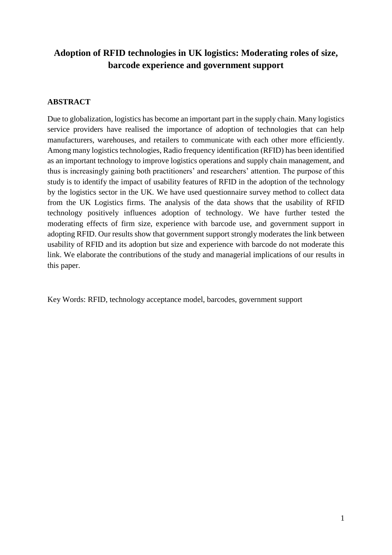# **Adoption of RFID technologies in UK logistics: Moderating roles of size, barcode experience and government support**

## **ABSTRACT**

Due to globalization, logistics has become an important part in the supply chain. Many logistics service providers have realised the importance of adoption of technologies that can help manufacturers, warehouses, and retailers to communicate with each other more efficiently. Among many logistics technologies, Radio frequency identification (RFID) has been identified as an important technology to improve logistics operations and supply chain management, and thus is increasingly gaining both practitioners' and researchers' attention. The purpose of this study is to identify the impact of usability features of RFID in the adoption of the technology by the logistics sector in the UK. We have used questionnaire survey method to collect data from the UK Logistics firms. The analysis of the data shows that the usability of RFID technology positively influences adoption of technology. We have further tested the moderating effects of firm size, experience with barcode use, and government support in adopting RFID. Our results show that government support strongly moderates the link between usability of RFID and its adoption but size and experience with barcode do not moderate this link. We elaborate the contributions of the study and managerial implications of our results in this paper.

Key Words: RFID, technology acceptance model, barcodes, government support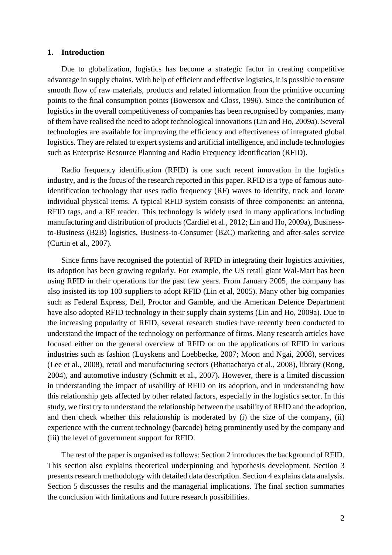#### **1. Introduction**

Due to globalization, logistics has become a strategic factor in creating competitive advantage in supply chains. With help of efficient and effective logistics, it is possible to ensure smooth flow of raw materials, products and related information from the primitive occurring points to the final consumption points (Bowersox and Closs, 1996). Since the contribution of logistics in the overall competitiveness of companies has been recognised by companies, many of them have realised the need to adopt technological innovations (Lin and Ho, 2009a). Several technologies are available for improving the efficiency and effectiveness of integrated global logistics. They are related to expert systems and artificial intelligence, and include technologies such as Enterprise Resource Planning and Radio Frequency Identification (RFID).

Radio frequency identification (RFID) is one such recent innovation in the logistics industry, and is the focus of the research reported in this paper. RFID is a type of famous autoidentification technology that uses radio frequency (RF) waves to identify, track and locate individual physical items. A typical RFID system consists of three components: an antenna, RFID tags, and a RF reader. This technology is widely used in many applications including manufacturing and distribution of products (Cardiel et al., 2012; Lin and Ho, 2009a), Businessto-Business (B2B) logistics, Business-to-Consumer (B2C) marketing and after-sales service (Curtin et al., 2007).

Since firms have recognised the potential of RFID in integrating their logistics activities, its adoption has been growing regularly. For example, the US retail giant Wal-Mart has been using RFID in their operations for the past few years. From January 2005, the company has also insisted its top 100 suppliers to adopt RFID (Lin et al, 2005). Many other big companies such as Federal Express, Dell, Proctor and Gamble, and the American Defence Department have also adopted RFID technology in their supply chain systems (Lin and Ho, 2009a). Due to the increasing popularity of RFID, several research studies have recently been conducted to understand the impact of the technology on performance of firms. Many research articles have focused either on the general overview of RFID or on the applications of RFID in various industries such as fashion (Luyskens and Loebbecke, 2007; Moon and Ngai, 2008), services (Lee et al., 2008), retail and manufacturing sectors (Bhattacharya et al., 2008), library (Rong, 2004), and automotive industry (Schmitt et al., 2007). However, there is a limited discussion in understanding the impact of usability of RFID on its adoption, and in understanding how this relationship gets affected by other related factors, especially in the logistics sector. In this study, we first try to understand the relationship between the usability of RFID and the adoption, and then check whether this relationship is moderated by (i) the size of the company, (ii) experience with the current technology (barcode) being prominently used by the company and (iii) the level of government support for RFID.

The rest of the paper is organised as follows: Section 2 introduces the background of RFID. This section also explains theoretical underpinning and hypothesis development. Section 3 presents research methodology with detailed data description. Section 4 explains data analysis. Section 5 discusses the results and the managerial implications. The final section summaries the conclusion with limitations and future research possibilities.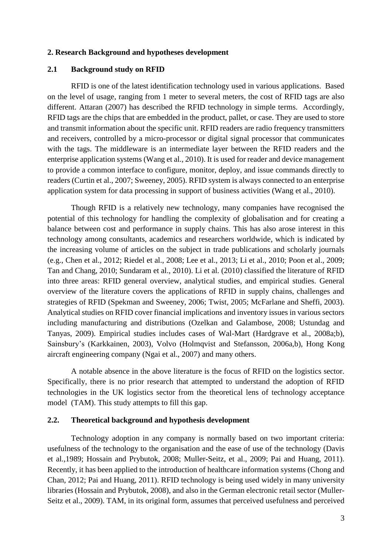#### **2. Research Background and hypotheses development**

### **2.1 Background study on RFID**

RFID is one of the latest identification technology used in various applications. Based on the level of usage, ranging from 1 meter to several meters, the cost of RFID tags are also different. Attaran (2007) has described the RFID technology in simple terms. Accordingly, RFID tags are the chips that are embedded in the product, pallet, or case. They are used to store and transmit information about the specific unit. RFID readers are radio frequency transmitters and receivers, controlled by a micro-processor or digital signal processor that communicates with the tags. The middleware is an intermediate layer between the RFID readers and the enterprise application systems (Wang et al., 2010). It is used for reader and device management to provide a common interface to configure, monitor, deploy, and issue commands directly to readers (Curtin et al., 2007; Sweeney, 2005). RFID system is always connected to an enterprise application system for data processing in support of business activities (Wang et al., 2010).

Though RFID is a relatively new technology, many companies have recognised the potential of this technology for handling the complexity of globalisation and for creating a balance between cost and performance in supply chains. This has also arose interest in this technology among consultants, academics and researchers worldwide, which is indicated by the increasing volume of articles on the subject in trade publications and scholarly journals (e.g., Chen et al., 2012; Riedel et al., 2008; Lee et al., 2013; Li et al., 2010; Poon et al., 2009; Tan and Chang, 2010; Sundaram et al., 2010). Li et al. (2010) classified the literature of RFID into three areas: RFID general overview, analytical studies, and empirical studies. General overview of the literature covers the applications of RFID in supply chains, challenges and strategies of RFID (Spekman and Sweeney, 2006; Twist, 2005; McFarlane and Sheffi, 2003). Analytical studies on RFID cover financial implications and inventory issues in various sectors including manufacturing and distributions (Ozelkan and Galambose, 2008; Ustundag and Tanyas, 2009). Empirical studies includes cases of Wal-Mart (Hardgrave et al., 2008a;b), Sainsbury's (Karkkainen, 2003), Volvo (Holmqvist and Stefansson, 2006a,b), Hong Kong aircraft engineering company (Ngai et al., 2007) and many others.

A notable absence in the above literature is the focus of RFID on the logistics sector. Specifically, there is no prior research that attempted to understand the adoption of RFID technologies in the UK logistics sector from the theoretical lens of technology acceptance model (TAM). This study attempts to fill this gap.

#### **2.2. Theoretical background and hypothesis development**

Technology adoption in any company is normally based on two important criteria: usefulness of the technology to the organisation and the ease of use of the technology (Davis et al.,1989; Hossain and Prybutok, 2008; Muller-Seitz, et al., 2009; Pai and Huang, 2011). Recently, it has been applied to the introduction of healthcare information systems (Chong and Chan, 2012; Pai and Huang, 2011). RFID technology is being used widely in many university libraries (Hossain and Prybutok, 2008), and also in the German electronic retail sector (Muller-Seitz et al., 2009). TAM, in its original form, assumes that perceived usefulness and perceived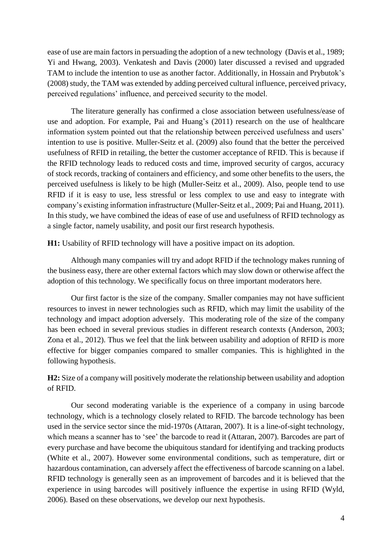ease of use are main factors in persuading the adoption of a new technology (Davis et al., 1989; Yi and Hwang, 2003). Venkatesh and Davis (2000) later discussed a revised and upgraded TAM to include the intention to use as another factor. Additionally, in Hossain and Prybutok's (2008) study, the TAM was extended by adding perceived cultural influence, perceived privacy, perceived regulations' influence, and perceived security to the model.

The literature generally has confirmed a close association between usefulness/ease of use and adoption. For example, Pai and Huang's (2011) research on the use of healthcare information system pointed out that the relationship between perceived usefulness and users' intention to use is positive. Muller-Seitz et al. (2009) also found that the better the perceived usefulness of RFID in retailing, the better the customer acceptance of RFID. This is because if the RFID technology leads to reduced costs and time, improved security of cargos, accuracy of stock records, tracking of containers and efficiency, and some other benefits to the users, the perceived usefulness is likely to be high (Muller-Seitz et al., 2009). Also, people tend to use RFID if it is easy to use, less stressful or less complex to use and easy to integrate with company's existing information infrastructure (Muller-Seitz et al., 2009; Pai and Huang, 2011). In this study, we have combined the ideas of ease of use and usefulness of RFID technology as a single factor, namely usability, and posit our first research hypothesis.

**H1:** Usability of RFID technology will have a positive impact on its adoption.

Although many companies will try and adopt RFID if the technology makes running of the business easy, there are other external factors which may slow down or otherwise affect the adoption of this technology. We specifically focus on three important moderators here.

Our first factor is the size of the company. Smaller companies may not have sufficient resources to invest in newer technologies such as RFID, which may limit the usability of the technology and impact adoption adversely. This moderating role of the size of the company has been echoed in several previous studies in different research contexts (Anderson, 2003; Zona et al., 2012). Thus we feel that the link between usability and adoption of RFID is more effective for bigger companies compared to smaller companies. This is highlighted in the following hypothesis.

**H2:** Size of a company will positively moderate the relationship between usability and adoption of RFID.

Our second moderating variable is the experience of a company in using barcode technology, which is a technology closely related to RFID. The barcode technology has been used in the service sector since the mid-1970s (Attaran, 2007). It is a line-of-sight technology, which means a scanner has to 'see' the barcode to read it (Attaran, 2007). Barcodes are part of every purchase and have become the ubiquitous standard for identifying and tracking products (White et al., 2007). However some environmental conditions, such as temperature, dirt or hazardous contamination, can adversely affect the effectiveness of barcode scanning on a label. RFID technology is generally seen as an improvement of barcodes and it is believed that the experience in using barcodes will positively influence the expertise in using RFID (Wyld, 2006). Based on these observations, we develop our next hypothesis.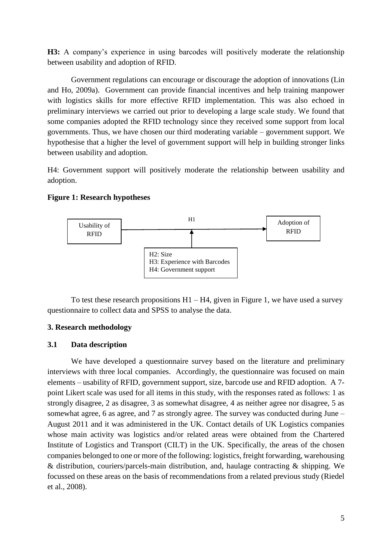**H3:** A company's experience in using barcodes will positively moderate the relationship between usability and adoption of RFID.

Government regulations can encourage or discourage the adoption of innovations (Lin and Ho, 2009a). Government can provide financial incentives and help training manpower with logistics skills for more effective RFID implementation. This was also echoed in preliminary interviews we carried out prior to developing a large scale study. We found that some companies adopted the RFID technology since they received some support from local governments. Thus, we have chosen our third moderating variable – government support. We hypothesise that a higher the level of government support will help in building stronger links between usability and adoption.

H4: Government support will positively moderate the relationship between usability and adoption.



## **Figure 1: Research hypotheses**

To test these research propositions  $H1 - H4$ , given in Figure 1, we have used a survey questionnaire to collect data and SPSS to analyse the data.

## **3. Research methodology**

## **3.1 Data description**

We have developed a questionnaire survey based on the literature and preliminary interviews with three local companies. Accordingly, the questionnaire was focused on main elements – usability of RFID, government support, size, barcode use and RFID adoption. A 7 point Likert scale was used for all items in this study, with the responses rated as follows: 1 as strongly disagree, 2 as disagree, 3 as somewhat disagree, 4 as neither agree nor disagree, 5 as somewhat agree, 6 as agree, and 7 as strongly agree. The survey was conducted during June – August 2011 and it was administered in the UK. Contact details of UK Logistics companies whose main activity was logistics and/or related areas were obtained from the Chartered Institute of Logistics and Transport (CILT) in the UK. Specifically, the areas of the chosen companies belonged to one or more of the following: logistics, freight forwarding, warehousing & distribution, couriers/parcels-main distribution, and, haulage contracting & shipping. We focussed on these areas on the basis of recommendations from a related previous study (Riedel et al., 2008).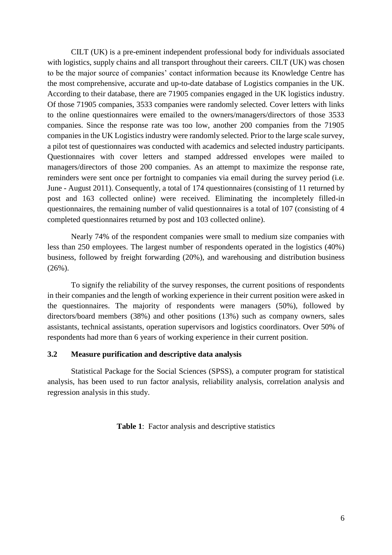CILT (UK) is a pre-eminent independent professional body for individuals associated with logistics, supply chains and all transport throughout their careers. CILT (UK) was chosen to be the major source of companies' contact information because its Knowledge Centre has the most comprehensive, accurate and up-to-date database of Logistics companies in the UK. According to their database, there are 71905 companies engaged in the UK logistics industry. Of those 71905 companies, 3533 companies were randomly selected. Cover letters with links to the online questionnaires were emailed to the owners/managers/directors of those 3533 companies. Since the response rate was too low, another 200 companies from the 71905 companies in the UK Logistics industry were randomly selected. Prior to the large scale survey, a pilot test of questionnaires was conducted with academics and selected industry participants. Questionnaires with cover letters and stamped addressed envelopes were mailed to managers/directors of those 200 companies. As an attempt to maximize the response rate, reminders were sent once per fortnight to companies via email during the survey period (i.e. June - August 2011). Consequently, a total of 174 questionnaires (consisting of 11 returned by post and 163 collected online) were received. Eliminating the incompletely filled-in questionnaires, the remaining number of valid questionnaires is a total of 107 (consisting of 4 completed questionnaires returned by post and 103 collected online).

Nearly 74% of the respondent companies were small to medium size companies with less than 250 employees. The largest number of respondents operated in the logistics (40%) business, followed by freight forwarding (20%), and warehousing and distribution business  $(26\%)$ .

To signify the reliability of the survey responses, the current positions of respondents in their companies and the length of working experience in their current position were asked in the questionnaires. The majority of respondents were managers (50%), followed by directors/board members (38%) and other positions (13%) such as company owners, sales assistants, technical assistants, operation supervisors and logistics coordinators. Over 50% of respondents had more than 6 years of working experience in their current position.

## **3.2 Measure purification and descriptive data analysis**

Statistical Package for the Social Sciences (SPSS), a computer program for statistical analysis, has been used to run factor analysis, reliability analysis, correlation analysis and regression analysis in this study.

**Table 1**: Factor analysis and descriptive statistics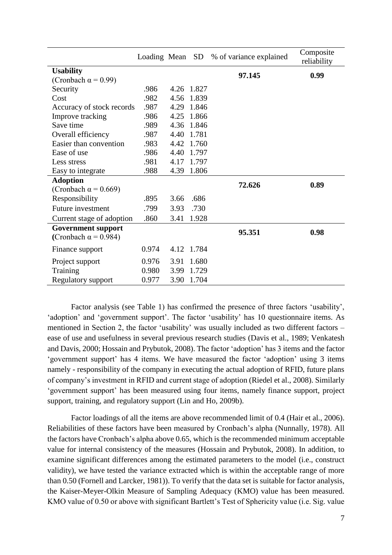|                                                          |       |      |            | Loading Mean SD % of variance explained | Composite<br>reliability |
|----------------------------------------------------------|-------|------|------------|-----------------------------------------|--------------------------|
| <b>Usability</b>                                         |       |      |            | 97.145                                  | 0.99                     |
| (Cronbach $\alpha$ = 0.99)                               |       |      |            |                                         |                          |
| Security                                                 | .986  |      | 4.26 1.827 |                                         |                          |
| Cost                                                     | .982  | 4.56 | 1.839      |                                         |                          |
| Accuracy of stock records                                | .987  | 4.29 | 1.846      |                                         |                          |
| Improve tracking                                         | .986  | 4.25 | 1.866      |                                         |                          |
| Save time                                                | .989  | 4.36 | 1.846      |                                         |                          |
| Overall efficiency                                       | .987  | 4.40 | 1.781      |                                         |                          |
| Easier than convention                                   | .983  | 4.42 | 1.760      |                                         |                          |
| Ease of use                                              | .986  | 4.40 | 1.797      |                                         |                          |
| Less stress                                              | .981  | 4.17 | 1.797      |                                         |                          |
| Easy to integrate                                        | .988  | 4.39 | 1.806      |                                         |                          |
| <b>Adoption</b>                                          |       |      |            | 72.626                                  | 0.89                     |
| (Cronbach $\alpha$ = 0.669)                              |       |      |            |                                         |                          |
| Responsibility                                           | .895  | 3.66 | .686       |                                         |                          |
| Future investment                                        | .799  | 3.93 | .730       |                                         |                          |
| Current stage of adoption                                | .860  | 3.41 | 1.928      |                                         |                          |
| <b>Government support</b><br>(Cronbach $\alpha$ = 0.984) |       |      |            | 95.351                                  | 0.98                     |
| Finance support                                          | 0.974 |      | 4.12 1.784 |                                         |                          |
| Project support                                          | 0.976 | 3.91 | 1.680      |                                         |                          |
| Training                                                 | 0.980 | 3.99 | 1.729      |                                         |                          |
| Regulatory support                                       | 0.977 | 3.90 | 1.704      |                                         |                          |

Factor analysis (see Table 1) has confirmed the presence of three factors 'usability', 'adoption' and 'government support'. The factor 'usability' has 10 questionnaire items. As mentioned in Section 2, the factor 'usability' was usually included as two different factors – ease of use and usefulness in several previous research studies (Davis et al., 1989; Venkatesh and Davis, 2000; Hossain and Prybutok, 2008). The factor 'adoption' has 3 items and the factor 'government support' has 4 items. We have measured the factor 'adoption' using 3 items namely - responsibility of the company in executing the actual adoption of RFID, future plans of company's investment in RFID and current stage of adoption (Riedel et al., 2008). Similarly 'government support' has been measured using four items, namely finance support, project support, training, and regulatory support (Lin and Ho, 2009b).

Factor loadings of all the items are above recommended limit of 0.4 (Hair et al., 2006). Reliabilities of these factors have been measured by Cronbach's alpha (Nunnally, 1978). All the factors have Cronbach's alpha above 0.65, which is the recommended minimum acceptable value for internal consistency of the measures (Hossain and Prybutok, 2008). In addition, to examine significant differences among the estimated parameters to the model (i.e., construct validity), we have tested the variance extracted which is within the acceptable range of more than 0.50 (Fornell and Larcker, 1981)). To verify that the data set is suitable for factor analysis, the Kaiser-Meyer-Olkin Measure of Sampling Adequacy (KMO) value has been measured. KMO value of 0.50 or above with significant Bartlett's Test of Sphericity value (i.e. Sig. value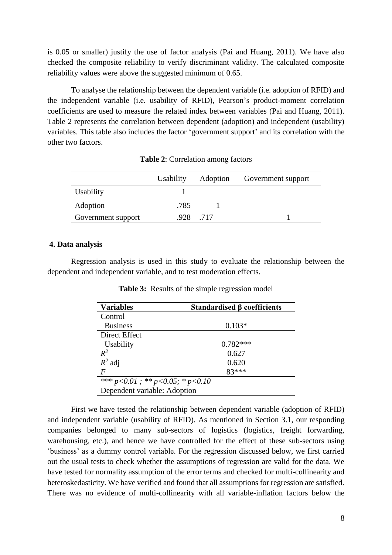is 0.05 or smaller) justify the use of factor analysis (Pai and Huang, 2011). We have also checked the composite reliability to verify discriminant validity. The calculated composite reliability values were above the suggested minimum of 0.65.

To analyse the relationship between the dependent variable (i.e. adoption of RFID) and the independent variable (i.e. usability of RFID), Pearson's product-moment correlation coefficients are used to measure the related index between variables (Pai and Huang, 2011). Table 2 represents the correlation between dependent (adoption) and independent (usability) variables. This table also includes the factor 'government support' and its correlation with the other two factors.

|                    | Usability |      | Adoption Government support |
|--------------------|-----------|------|-----------------------------|
| Usability          |           |      |                             |
| Adoption           | .785      |      |                             |
| Government support | -928-     | .717 |                             |

|  | Table 2: Correlation among factors |  |  |
|--|------------------------------------|--|--|
|--|------------------------------------|--|--|

#### **4. Data analysis**

Regression analysis is used in this study to evaluate the relationship between the dependent and independent variable, and to test moderation effects.

| <b>Variables</b>                        | Standardised $\beta$ coefficients |
|-----------------------------------------|-----------------------------------|
| Control                                 |                                   |
| <b>Business</b>                         | $0.103*$                          |
| Direct Effect                           |                                   |
| Usability                               | $0.782***$                        |
| $R^2$                                   | 0.627                             |
| $R^2$ adj                               | 0.620                             |
| $\bm{F}$                                | $83***$                           |
| *** $p<0.01$ ; ** $p<0.05$ ; * $p<0.10$ |                                   |
| Dependent variable: Adoption            |                                   |

**Table 3:** Results of the simple regression model

First we have tested the relationship between dependent variable (adoption of RFID) and independent variable (usability of RFID). As mentioned in Section 3.1, our responding companies belonged to many sub-sectors of logistics (logistics, freight forwarding, warehousing, etc.), and hence we have controlled for the effect of these sub-sectors using 'business' as a dummy control variable. For the regression discussed below, we first carried out the usual tests to check whether the assumptions of regression are valid for the data. We have tested for normality assumption of the error terms and checked for multi-collinearity and heteroskedasticity. We have verified and found that all assumptions for regression are satisfied. There was no evidence of multi-collinearity with all variable-inflation factors below the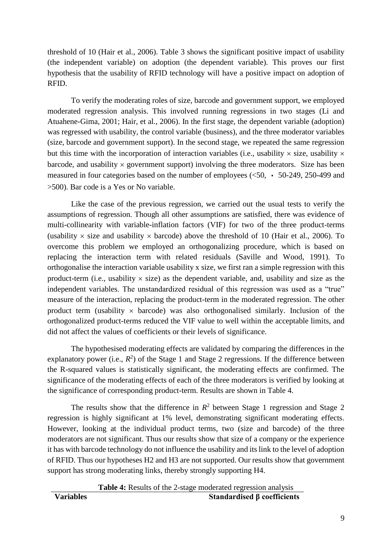threshold of 10 (Hair et al., 2006). Table 3 shows the significant positive impact of usability (the independent variable) on adoption (the dependent variable). This proves our first hypothesis that the usability of RFID technology will have a positive impact on adoption of RFID.

To verify the moderating roles of size, barcode and government support, we employed moderated regression analysis. This involved running regressions in two stages (Li and Atuahene-Gima, 2001; Hair, et al., 2006). In the first stage, the dependent variable (adoption) was regressed with usability, the control variable (business), and the three moderator variables (size, barcode and government support). In the second stage, we repeated the same regression but this time with the incorporation of interaction variables (i.e., usability  $\times$  size, usability  $\times$ barcode, and usability  $\times$  government support) involving the three moderators. Size has been measured in four categories based on the number of employees ( $\leq 50$ ,  $\cdot$  50-249, 250-499 and >500). Bar code is a Yes or No variable.

Like the case of the previous regression, we carried out the usual tests to verify the assumptions of regression. Though all other assumptions are satisfied, there was evidence of multi-collinearity with variable-inflation factors (VIF) for two of the three product-terms (usability  $\times$  size and usability  $\times$  barcode) above the threshold of 10 (Hair et al., 2006). To overcome this problem we employed an orthogonalizing procedure, which is based on replacing the interaction term with related residuals (Saville and Wood, 1991). To orthogonalise the interaction variable usability x size, we first ran a simple regression with this product-term (i.e., usability  $\times$  size) as the dependent variable, and, usability and size as the independent variables. The unstandardized residual of this regression was used as a "true" measure of the interaction, replacing the product-term in the moderated regression. The other product term (usability  $\times$  barcode) was also orthogonalised similarly. Inclusion of the orthogonalized product-terms reduced the VIF value to well within the acceptable limits, and did not affect the values of coefficients or their levels of significance.

The hypothesised moderating effects are validated by comparing the differences in the explanatory power (i.e.,  $R^2$ ) of the Stage 1 and Stage 2 regressions. If the difference between the R-squared values is statistically significant, the moderating effects are confirmed. The significance of the moderating effects of each of the three moderators is verified by looking at the significance of corresponding product-term. Results are shown in Table 4.

The results show that the difference in  $R^2$  between Stage 1 regression and Stage 2 regression is highly significant at 1% level, demonstrating significant moderating effects. However, looking at the individual product terms, two (size and barcode) of the three moderators are not significant. Thus our results show that size of a company or the experience it has with barcode technology do not influence the usability and its link to the level of adoption of RFID. Thus our hypotheses H2 and H3 are not supported. Our results show that government support has strong moderating links, thereby strongly supporting H4.

**Table 4:** Results of the 2-stage moderated regression analysis **Variables Standardised β coefficients**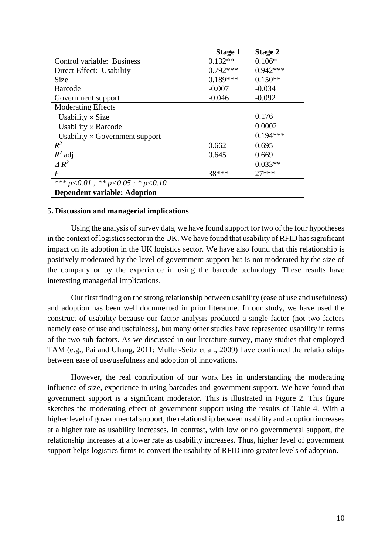|                                         | <b>Stage 1</b> | Stage 2    |
|-----------------------------------------|----------------|------------|
| Control variable: Business              | $0.132**$      | $0.106*$   |
| Direct Effect: Usability                | $0.792***$     | $0.942***$ |
| Size                                    | $0.189***$     | $0.150**$  |
| Barcode                                 | $-0.007$       | $-0.034$   |
| Government support                      | $-0.046$       | $-0.092$   |
| <b>Moderating Effects</b>               |                |            |
| Usability $\times$ Size                 |                | 0.176      |
| Usability $\times$ Barcode              |                | 0.0002     |
| Usability $\times$ Government support   |                | $0.194***$ |
| $R^2$                                   | 0.662          | 0.695      |
| $R^2$ adj                               | 0.645          | 0.669      |
| $AR^2$                                  |                | $0.033**$  |
| $\overline{F}$                          | 38***          | $27***$    |
| *** $p<0.01$ ; ** $p<0.05$ ; * $p<0.10$ |                |            |
| <b>Dependent variable: Adoption</b>     |                |            |

#### **5. Discussion and managerial implications**

Using the analysis of survey data, we have found support for two of the four hypotheses in the context of logistics sector in the UK. We have found that usability of RFID has significant impact on its adoption in the UK logistics sector. We have also found that this relationship is positively moderated by the level of government support but is not moderated by the size of the company or by the experience in using the barcode technology. These results have interesting managerial implications.

Our first finding on the strong relationship between usability (ease of use and usefulness) and adoption has been well documented in prior literature. In our study, we have used the construct of usability because our factor analysis produced a single factor (not two factors namely ease of use and usefulness), but many other studies have represented usability in terms of the two sub-factors. As we discussed in our literature survey, many studies that employed TAM (e.g., Pai and Uhang, 2011; Muller-Seitz et al., 2009) have confirmed the relationships between ease of use/usefulness and adoption of innovations.

However, the real contribution of our work lies in understanding the moderating influence of size, experience in using barcodes and government support. We have found that government support is a significant moderator. This is illustrated in Figure 2. This figure sketches the moderating effect of government support using the results of Table 4. With a higher level of governmental support, the relationship between usability and adoption increases at a higher rate as usability increases. In contrast, with low or no governmental support, the relationship increases at a lower rate as usability increases. Thus, higher level of government support helps logistics firms to convert the usability of RFID into greater levels of adoption.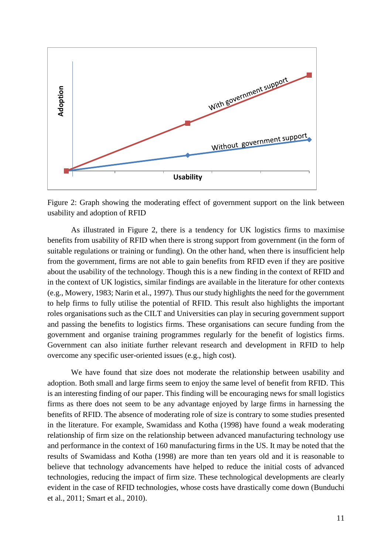

Figure 2: Graph showing the moderating effect of government support on the link between usability and adoption of RFID

As illustrated in Figure 2, there is a tendency for UK logistics firms to maximise benefits from usability of RFID when there is strong support from government (in the form of suitable regulations or training or funding). On the other hand, when there is insufficient help from the government, firms are not able to gain benefits from RFID even if they are positive about the usability of the technology. Though this is a new finding in the context of RFID and in the context of UK logistics, similar findings are available in the literature for other contexts (e.g., Mowery, 1983; Narin et al., 1997). Thus our study highlights the need for the government to help firms to fully utilise the potential of RFID. This result also highlights the important roles organisations such as the CILT and Universities can play in securing government support and passing the benefits to logistics firms. These organisations can secure funding from the government and organise training programmes regularly for the benefit of logistics firms. Government can also initiate further relevant research and development in RFID to help overcome any specific user-oriented issues (e.g., high cost). **Example 18**<br> **Example 2:** Graph showing the nusability and adoption of RFID<br>
As illustrated in Figure<br>
benefits from usability of RFID<br>
suitable regulations or training<br>
from the government, firms are<br>
about the usability

We have found that size does not moderate the relationship between usability and adoption. Both small and large firms seem to enjoy the same level of benefit from RFID. This is an interesting finding of our paper. This finding will be encouraging news for small logistics firms as there does not seem to be any advantage enjoyed by large firms in harnessing the benefits of RFID. The absence of moderating role of size is contrary to some studies presented in the literature. For example, Swamidass and Kotha (1998) have found a weak moderating relationship of firm size on the relationship between advanced manufacturing technology use and performance in the context of 160 manufacturing firms in the US. It may be noted that the results of Swamidass and Kotha (1998) are more than ten years old and it is reasonable to believe that technology advancements have helped to reduce the initial costs of advanced technologies, reducing the impact of firm size. These technological developments are clearly evident in the case of RFID technologies, whose costs have drastically come down (Bunduchi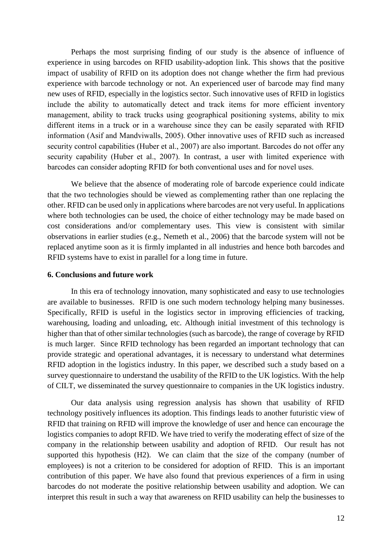Perhaps the most surprising finding of our study is the absence of influence of experience in using barcodes on RFID usability-adoption link. This shows that the positive impact of usability of RFID on its adoption does not change whether the firm had previous experience with barcode technology or not. An experienced user of barcode may find many new uses of RFID, especially in the logistics sector. Such innovative uses of RFID in logistics include the ability to automatically detect and track items for more efficient inventory management, ability to track trucks using geographical positioning systems, ability to mix different items in a truck or in a warehouse since they can be easily separated with RFID information (Asif and Mandviwalls, 2005). Other innovative uses of RFID such as increased security control capabilities (Huber et al., 2007) are also important. Barcodes do not offer any security capability (Huber et al., 2007). In contrast, a user with limited experience with barcodes can consider adopting RFID for both conventional uses and for novel uses.

We believe that the absence of moderating role of barcode experience could indicate that the two technologies should be viewed as complementing rather than one replacing the other. RFID can be used only in applications where barcodes are not very useful. In applications where both technologies can be used, the choice of either technology may be made based on cost considerations and/or complementary uses. This view is consistent with similar observations in earlier studies (e.g., Nemeth et al., 2006) that the barcode system will not be replaced anytime soon as it is firmly implanted in all industries and hence both barcodes and RFID systems have to exist in parallel for a long time in future.

#### **6. Conclusions and future work**

In this era of technology innovation, many sophisticated and easy to use technologies are available to businesses. RFID is one such modern technology helping many businesses. Specifically, RFID is useful in the logistics sector in improving efficiencies of tracking, warehousing, loading and unloading, etc. Although initial investment of this technology is higher than that of other similar technologies (such as barcode), the range of coverage by RFID is much larger. Since RFID technology has been regarded an important technology that can provide strategic and operational advantages, it is necessary to understand what determines RFID adoption in the logistics industry. In this paper, we described such a study based on a survey questionnaire to understand the usability of the RFID to the UK logistics. With the help of CILT, we disseminated the survey questionnaire to companies in the UK logistics industry.

Our data analysis using regression analysis has shown that usability of RFID technology positively influences its adoption. This findings leads to another futuristic view of RFID that training on RFID will improve the knowledge of user and hence can encourage the logistics companies to adopt RFID. We have tried to verify the moderating effect of size of the company in the relationship between usability and adoption of RFID. Our result has not supported this hypothesis (H2). We can claim that the size of the company (number of employees) is not a criterion to be considered for adoption of RFID. This is an important contribution of this paper. We have also found that previous experiences of a firm in using barcodes do not moderate the positive relationship between usability and adoption. We can interpret this result in such a way that awareness on RFID usability can help the businesses to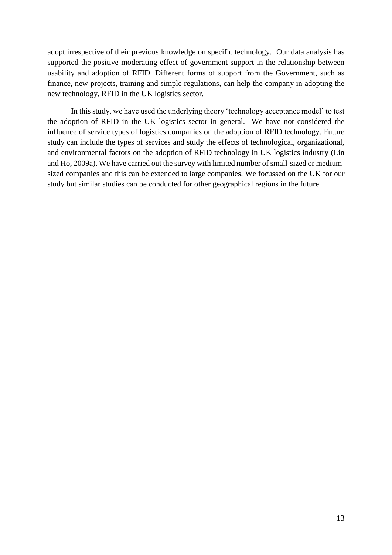adopt irrespective of their previous knowledge on specific technology. Our data analysis has supported the positive moderating effect of government support in the relationship between usability and adoption of RFID. Different forms of support from the Government, such as finance, new projects, training and simple regulations, can help the company in adopting the new technology, RFID in the UK logistics sector.

In this study, we have used the underlying theory 'technology acceptance model' to test the adoption of RFID in the UK logistics sector in general. We have not considered the influence of service types of logistics companies on the adoption of RFID technology. Future study can include the types of services and study the effects of technological, organizational, and environmental factors on the adoption of RFID technology in UK logistics industry (Lin and Ho, 2009a). We have carried out the survey with limited number of small-sized or mediumsized companies and this can be extended to large companies. We focussed on the UK for our study but similar studies can be conducted for other geographical regions in the future.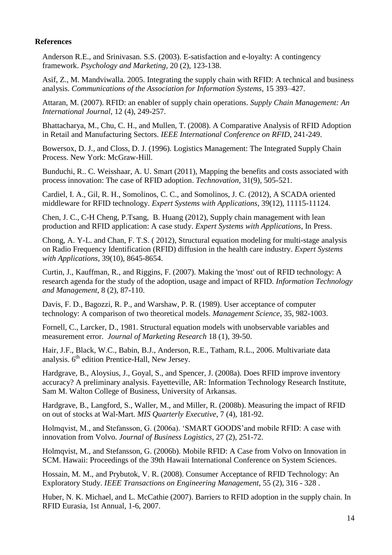## **References**

Anderson R.E., and Srinivasan. S.S. (2003). E-satisfaction and e-loyalty: A contingency framework. *Psychology and Marketing*, 20 (2), 123-138.

Asif, Z., M. Mandviwalla. 2005. Integrating the supply chain with RFID: A technical and business analysis. *Communications of the Association for Information Systems*, 15 393–427.

Attaran, M. (2007). RFID: an enabler of supply chain operations. *Supply Chain Management: An International Journal*, 12 (4), 249-257.

Bhattacharya, M., Chu, C. H., and Mullen, T. (2008). A Comparative Analysis of RFID Adoption in Retail and Manufacturing Sectors. *IEEE International Conference on RFID*, 241-249.

Bowersox, D. J., and Closs, D. J. (1996). Logistics Management: The Integrated Supply Chain Process. New York: McGraw-Hill.

Bunduchi, R.. C. Weisshaar, A. U. Smart (2011), Mapping the benefits and costs associated with process innovation: The case of RFID adoption. *Technovation*, 31(9), 505-521.

Cardiel, I. A., Gil, R. H., Somolinos, C. C., and Somolinos, J. C. (2012), A SCADA oriented middleware for RFID technology. *Expert Systems with Applications*, 39(12), 11115-11124.

Chen, J. C., C-H Cheng, P.Tsang, B. Huang (2012), Supply chain management with lean production and RFID application: A case study. *Expert Systems with Applications*, In Press.

Chong, A. Y-L. and Chan, F. T.S. ( 2012), Structural equation modeling for multi-stage analysis on Radio Frequency Identification (RFID) diffusion in the health care industry. *Expert Systems with Applications*, 39(10), 8645-8654.

Curtin, J., Kauffman, R., and Riggins, F. (2007). Making the 'most' out of RFID technology: A research agenda for the study of the adoption, usage and impact of RFID. *Information Technology and Management*, 8 (2), 87-110.

Davis, F. D., Bagozzi, R. P., and Warshaw, P. R. (1989). User acceptance of computer technology: A comparison of two theoretical models. *Management Science*, 35, 982-1003.

Fornell, C., Larcker, D., 1981. Structural equation models with unobservable variables and measurement error. *Journal of Marketing Research* 18 (1), 39-50.

Hair, J.F., Black, W.C., Babin, B.J., Anderson, R.E., Tatham, R.L., 2006. Multivariate data analysis.  $6<sup>th</sup>$  edition Prentice-Hall, New Jersey.

Hardgrave, B., Aloysius, J., Goyal, S., and Spencer, J. (2008a). Does RFID improve inventory accuracy? A preliminary analysis. Fayetteville, AR: Information Technology Research Institute, Sam M. Walton College of Business, University of Arkansas.

Hardgrave, B., Langford, S., Waller, M., and Miller, R. (2008b). Measuring the impact of RFID on out of stocks at Wal-Mart. *MIS Quarterly Executive*, 7 (4), 181-92.

Holmqvist, M., and Stefansson, G. (2006a). 'SMART GOODS'and mobile RFID: A case with innovation from Volvo. *Journal of Business Logistics*, 27 (2), 251-72.

Holmqvist, M., and Stefansson, G. (2006b). Mobile RFID: A Case from Volvo on Innovation in SCM. Hawaii: Proceedings of the 39th Hawaii International Conference on System Sciences.

Hossain, M. M., and Prybutok, V. R. (2008). Consumer Acceptance of RFID Technology: An Exploratory Study. *IEEE Transactions on Engineering Management*, 55 (2), 316 - 328 .

Huber, N. K. Michael, and L. McCathie (2007). Barriers to RFID adoption in the supply chain. In RFID Eurasia, 1st Annual, 1-6, 2007.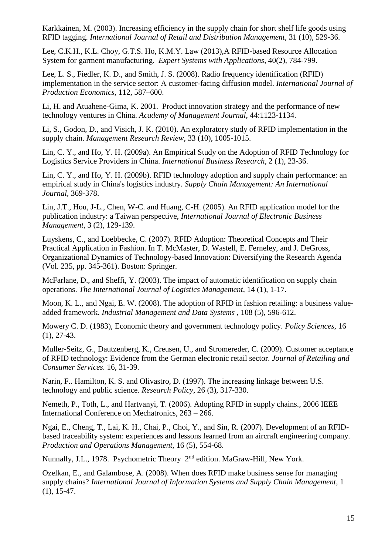Karkkainen, M. (2003). Increasing efficiency in the supply chain for short shelf life goods using RFID tagging. *International Journal of Retail and Distribution Management*, 31 (10), 529-36.

Lee, C.K.H., K.L. Choy, G.T.S. Ho, K.M.Y. Law (2013),A RFID-based Resource Allocation System for garment manufacturing. *Expert Systems with Applications*, 40(2), 784-799.

Lee, L. S., Fiedler, K. D., and Smith, J. S. (2008). Radio frequency identification (RFID) implementation in the service sector: A customer-facing diffusion model. *International Journal of Production Economics*, 112, 587–600.

Li, H. and Atuahene-Gima, K. 2001. Product innovation strategy and the performance of new technology ventures in China. *Academy of Management Journal*, 44:1123-1134.

Li, S., Godon, D., and Visich, J. K. (2010). An exploratory study of RFID implementation in the supply chain. *Management Research Review*, 33 (10), 1005-1015.

Lin, C. Y., and Ho, Y. H. (2009a). An Empirical Study on the Adoption of RFID Technology for Logistics Service Providers in China. *International Business Research*, 2 (1), 23-36.

Lin, C. Y., and Ho, Y. H. (2009b). RFID technology adoption and supply chain performance: an empirical study in China's logistics industry. *Supply Chain Management: An International Journal*, 369-378.

Lin, J.T., Hou, J-L., Chen, W-C. and Huang, C-H. (2005). An RFID application model for the publication industry: a Taiwan perspective, *International Journal of Electronic Business Management*, 3 (2), 129-139.

Luyskens, C., and Loebbecke, C. (2007). RFID Adoption: Theoretical Concepts and Their Practical Application in Fashion. In T. McMaster, D. Wastell, E. Ferneley, and J. DeGross, Organizational Dynamics of Technology-based Innovation: Diversifying the Research Agenda (Vol. 235, pp. 345-361). Boston: Springer.

McFarlane, D., and Sheffi, Y. (2003). The impact of automatic identification on supply chain operations. *The International Journal of Logistics Management*, 14 (1), 1-17.

Moon, K. L., and Ngai, E. W. (2008). The adoption of RFID in fashion retailing: a business valueadded framework. *Industrial Management and Data Systems* , 108 (5), 596-612.

Mowery C. D. (1983), Economic theory and government technology policy. *Policy Sciences*, 16 (1), 27-43.

Muller-Seitz, G., Dautzenberg, K., Creusen, U., and Stromereder, C. (2009). Customer acceptance of RFID technology: Evidence from the German electronic retail sector. *Journal of Retailing and Consumer Services.* 16, 31-39.

Narin, F.. Hamilton, K. S. and Olivastro, D. (1997). The increasing linkage between U.S. technology and public science. *Research Policy*, 26 (3), 317-330.

Nemeth, P., Toth, L., and Hartvanyi, T. (2006). Adopting RFID in supply chains., 2006 IEEE International Conference on Mechatronics, 263 – 266.

Ngai, E., Cheng, T., Lai, K. H., Chai, P., Choi, Y., and Sin, R. (2007). Development of an RFIDbased traceability system: experiences and lessons learned from an aircraft engineering company. *Production and Operations Management*, 16 (5), 554-68.

Nunnally, J.L., 1978. Psychometric Theory 2nd edition. MaGraw-Hill, New York.

Ozelkan, E., and Galambose, A. (2008). When does RFID make business sense for managing supply chains? *International Journal of Information Systems and Supply Chain Management*, 1 (1), 15-47.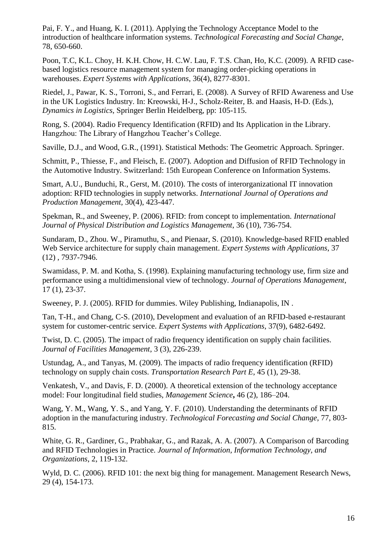Pai, F. Y., and Huang, K. I. (2011). Applying the Technology Acceptance Model to the introduction of healthcare information systems. *Technological Forecasting and Social Change*, 78, 650-660.

Poon, T.C, K.L. Choy, H. K.H. Chow, H. C.W. Lau, F. T.S. Chan, Ho, K.C. (2009). A RFID casebased logistics resource management system for managing order-picking operations in warehouses. *Expert Systems with Applications*, 36(4), 8277-8301.

Riedel, J., Pawar, K. S., Torroni, S., and Ferrari, E. (2008). A Survey of RFID Awareness and Use in the UK Logistics Industry. In: Kreowski, H-J., Scholz-Reiter, B. and Haasis, H-D. (Eds.), *Dynamics in Logistics*, Springer Berlin Heidelberg, pp: 105-115.

Rong, S. (2004). Radio Frequency Identification (RFID) and Its Application in the Library. Hangzhou: The Library of Hangzhou Teacher's College.

Saville, D.J., and Wood, G.R., (1991). Statistical Methods: The Geometric Approach. Springer.

Schmitt, P., Thiesse, F., and Fleisch, E. (2007). Adoption and Diffusion of RFID Technology in the Automotive Industry. Switzerland: 15th European Conference on Information Systems.

Smart, A.U., Bunduchi, R., Gerst, M. (2010). The costs of interorganizational IT innovation adoption: RFID technologies in supply networks. *International Journal of Operations and Production Management*, 30(4), 423-447.

Spekman, R., and Sweeney, P. (2006). RFID: from concept to implementation. *International Journal of Physical Distribution and Logistics Management*, 36 (10), 736-754.

Sundaram, D., Zhou. W., Piramuthu, S., and Pienaar, S. (2010). Knowledge-based RFID enabled Web Service architecture for supply chain management. *Expert Systems with Applications*, 37 (12) , 7937-7946.

Swamidass, P. M. and Kotha, S. (1998). Explaining manufacturing technology use, firm size and performance using a multidimensional view of technology. *Journal of Operations Management*, 17 (1), 23-37.

Sweeney, P. J. (2005). RFID for dummies. Wiley Publishing, Indianapolis, IN .

Tan, T-H., and Chang, C-S. (2010), Development and evaluation of an RFID-based e-restaurant system for customer-centric service. *Expert Systems with Applications*, 37(9), 6482-6492.

Twist, D. C. (2005). The impact of radio frequency identification on supply chain facilities. *Journal of Facilities Management*, 3 (3), 226-239.

Ustundag, A., and Tanyas, M. (2009). The impacts of radio frequency identification (RFID) technology on supply chain costs. *Transportation Research Part E*, 45 (1), 29-38.

Venkatesh, V., and Davis, F. D. (2000). A theoretical extension of the technology acceptance model: Four longitudinal field studies, *Management Science***,** 46 (2), 186–204.

Wang, Y. M., Wang, Y. S., and Yang, Y. F. (2010). Understanding the determinants of RFID adoption in the manufacturing industry. *Technological Forecasting and Social Change*, 77, 803- 815.

White, G. R., Gardiner, G., Prabhakar, G., and Razak, A. A. (2007). A Comparison of Barcoding and RFID Technologies in Practice. *Journal of Information, Information Technology, and Organizations*, 2, 119-132.

Wyld, D. C. (2006). RFID 101: the next big thing for management. Management Research News, 29 (4), 154-173.